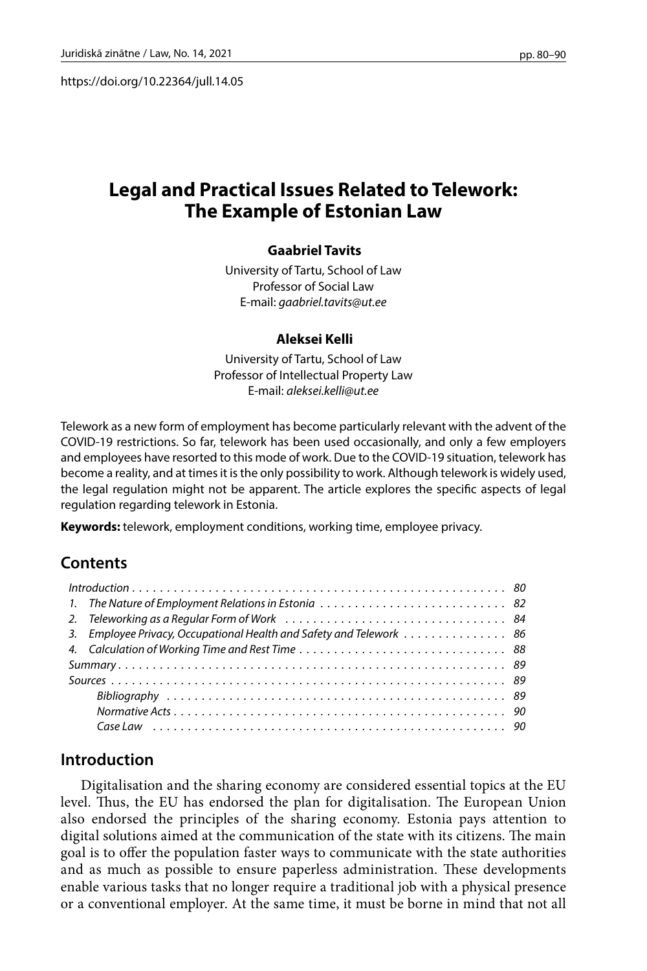https://doi.org/10.22364/jull.14.05

# **Legal and Practical Issues Related to Telework: The Example of Estonian Law**

#### **Gaabriel Tavits**

University of Tartu, School of Law Professor of Social Law E-mail: *[gaabriel.tavits@ut.ee](mailto:gaabriel.tavits@ut.ee)*

#### **Aleksei Kelli**

University of Tartu, School of Law Professor of Intellectual Property Law E-mail: *[aleksei.kelli@ut.ee](mailto:aleksei.kelli@ut.ee)*

Telework as a new form of employment has become particularly relevant with the advent of the COVID-19 restrictions. So far, telework has been used occasionally, and only a few employers and employees have resorted to this mode of work. Due to the COVID-19 situation, telework has become a reality, and at times it is the only possibility to work. Although telework is widely used, the legal regulation might not be apparent. The article explores the specific aspects of legal regulation regarding telework in Estonia.

**Keywords:** telework, employment conditions, working time, employee privacy.

## **Contents**

| 1. The Nature of Employment Relations in Estonia  82                 |  |
|----------------------------------------------------------------------|--|
|                                                                      |  |
| 3. Employee Privacy, Occupational Health and Safety and Telework  86 |  |
|                                                                      |  |
|                                                                      |  |
|                                                                      |  |
|                                                                      |  |
|                                                                      |  |
|                                                                      |  |

## **Introduction**

Digitalisation and the sharing economy are considered essential topics at the EU level. Thus, the EU has endorsed the plan for digitalisation. The European Union also endorsed the principles of the sharing economy. Estonia pays attention to digital solutions aimed at the communication of the state with its citizens. The main goal is to offer the population faster ways to communicate with the state authorities and as much as possible to ensure paperless administration. These developments enable various tasks that no longer require a traditional job with a physical presence or a conventional employer. At the same time, it must be borne in mind that not all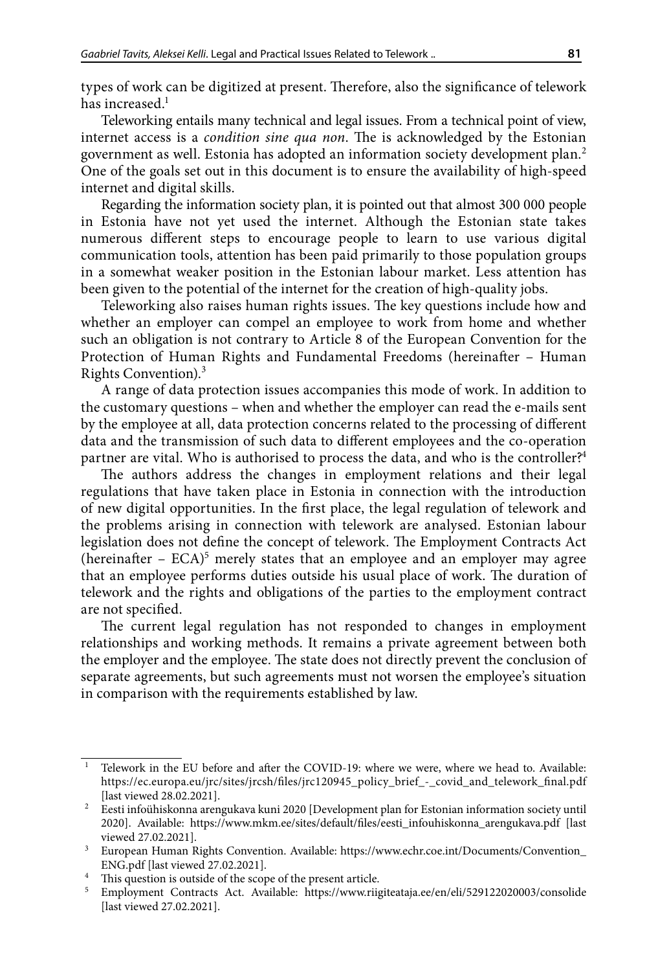types of work can be digitized at present. Therefore, also the significance of telework has increased. $<sup>1</sup>$ </sup>

Teleworking entails many technical and legal issues. From a technical point of view, internet access is a *condition sine qua non*. The is acknowledged by the Estonian government as well. Estonia has adopted an information society development plan.2 One of the goals set out in this document is to ensure the availability of high-speed internet and digital skills.

Regarding the information society plan, it is pointed out that almost 300 000 people in Estonia have not yet used the internet. Although the Estonian state takes numerous different steps to encourage people to learn to use various digital communication tools, attention has been paid primarily to those population groups in a somewhat weaker position in the Estonian labour market. Less attention has been given to the potential of the internet for the creation of high-quality jobs.

Teleworking also raises human rights issues. The key questions include how and whether an employer can compel an employee to work from home and whether such an obligation is not contrary to Article 8 of the European Convention for the Protection of Human Rights and Fundamental Freedoms (hereinafter – Human Rights Convention).3

A range of data protection issues accompanies this mode of work. In addition to the customary questions – when and whether the employer can read the e-mails sent by the employee at all, data protection concerns related to the processing of different data and the transmission of such data to different employees and the co-operation partner are vital. Who is authorised to process the data, and who is the controller?<sup>4</sup>

The authors address the changes in employment relations and their legal regulations that have taken place in Estonia in connection with the introduction of new digital opportunities. In the first place, the legal regulation of telework and the problems arising in connection with telework are analysed. Estonian labour legislation does not define the concept of telework. The Employment Contracts Act (hereinafter  $-$  ECA)<sup>5</sup> merely states that an employee and an employer may agree that an employee performs duties outside his usual place of work. The duration of telework and the rights and obligations of the parties to the employment contract are not specified.

The current legal regulation has not responded to changes in employment relationships and working methods. It remains a private agreement between both the employer and the employee. The state does not directly prevent the conclusion of separate agreements, but such agreements must not worsen the employee's situation in comparison with the requirements established by law.

<sup>1</sup> Telework in the EU before and after the COVID-19: where we were, where we head to. Available: https://ec.europa.eu/jrc/sites/jrcsh/files/jrc120945\_policy\_brief\_-\_covid\_and\_telework\_final.pdf [last viewed 28.02.2021].

 $^{\rm 2}$  Eesti infoühiskonna arengukava kuni 2020 [Development plan for Estonian information society until 2020]. Available: [https://www.mkm.ee/sites/default/files/eesti\\_infouhiskonna\\_arengukava.pdf](https://www.mkm.ee/sites/default/files/eesti_infouhiskonna_arengukava.pdf) [last viewed 27.02.2021].

<sup>&</sup>lt;sup>3</sup> European Human Rights Convention. Available: [https://www.echr.coe.int/Documents/Convention\\_](https://www.echr.coe.int/Documents/Convention_ENG.pdf) [ENG.pdf](https://www.echr.coe.int/Documents/Convention_ENG.pdf) [last viewed 27.02.2021].

<sup>&</sup>lt;sup>4</sup> This question is outside of the scope of the present article.<br><sup>5</sup> Employment Contracts Act Available: https://www.riig

<sup>5</sup> Employment Contracts Act. Available: <https://www.riigiteataja.ee/en/eli/529122020003/consolide> [last viewed 27.02.2021].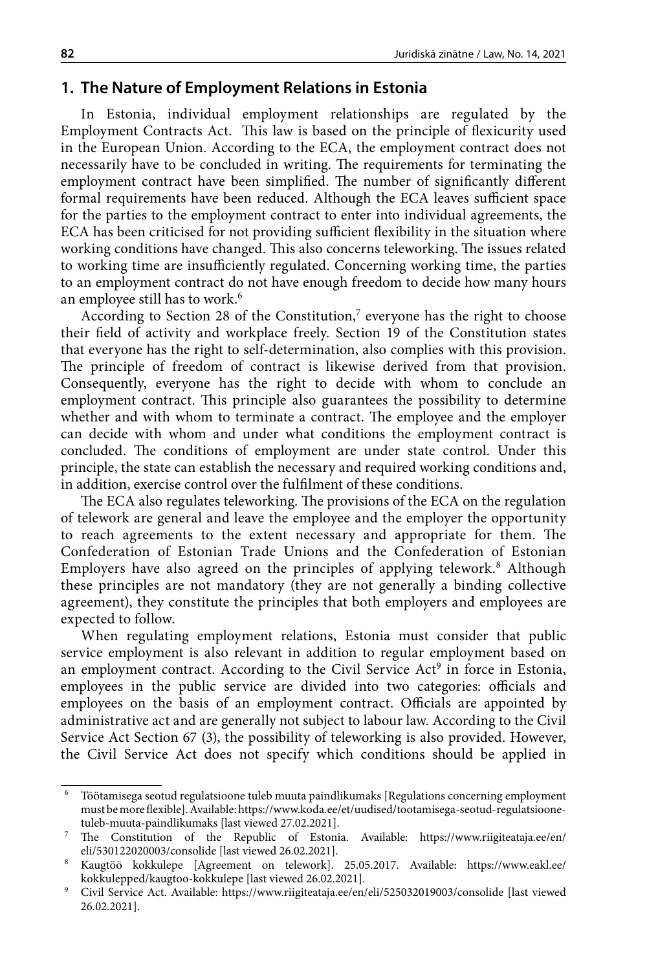### **1. The Nature of Employment Relations in Estonia**

In Estonia, individual employment relationships are regulated by the Employment Contracts Act. This law is based on the principle of flexicurity used in the European Union. According to the ECA, the employment contract does not necessarily have to be concluded in writing. The requirements for terminating the employment contract have been simplified. The number of significantly different formal requirements have been reduced. Although the ECA leaves sufficient space for the parties to the employment contract to enter into individual agreements, the ECA has been criticised for not providing sufficient flexibility in the situation where working conditions have changed. This also concerns teleworking. The issues related to working time are insufficiently regulated. Concerning working time, the parties to an employment contract do not have enough freedom to decide how many hours an employee still has to work.<sup>6</sup>

According to Section 28 of the Constitution,<sup>7</sup> everyone has the right to choose their field of activity and workplace freely. Section 19 of the Constitution states that everyone has the right to self-determination, also complies with this provision. The principle of freedom of contract is likewise derived from that provision. Consequently, everyone has the right to decide with whom to conclude an employment contract. This principle also guarantees the possibility to determine whether and with whom to terminate a contract. The employee and the employer can decide with whom and under what conditions the employment contract is concluded. The conditions of employment are under state control. Under this principle, the state can establish the necessary and required working conditions and, in addition, exercise control over the fulfilment of these conditions.

The ECA also regulates teleworking. The provisions of the ECA on the regulation of telework are general and leave the employee and the employer the opportunity to reach agreements to the extent necessary and appropriate for them. The Confederation of Estonian Trade Unions and the Confederation of Estonian Employers have also agreed on the principles of applying telework.<sup>8</sup> Although these principles are not mandatory (they are not generally a binding collective agreement), they constitute the principles that both employers and employees are expected to follow.

When regulating employment relations, Estonia must consider that public service employment is also relevant in addition to regular employment based on an employment contract. According to the Civil Service Act<sup>9</sup> in force in Estonia, employees in the public service are divided into two categories: officials and employees on the basis of an employment contract. Officials are appointed by administrative act and are generally not subject to labour law. According to the Civil Service Act Section 67 (3), the possibility of teleworking is also provided. However, the Civil Service Act does not specify which conditions should be applied in

 $^{\rm 6}$ Töötamisega seotud regulatsioone tuleb muuta paindlikumaks [Regulations concerning employment must be more flexible]. Available: [https://www.koda.ee/et/uudised/tootamisega-seotud-regulatsioone](https://www.koda.ee/et/uudised/tootamisega-seotud-regulatsioone-tuleb-muuta-paindlikumaks)[tuleb-muuta-paindlikumaks](https://www.koda.ee/et/uudised/tootamisega-seotud-regulatsioone-tuleb-muuta-paindlikumaks) [last viewed 27.02.2021].

<sup>7</sup> The Constitution of the Republic of Estonia. Available: [https://www.riigiteataja.ee/en/](https://www.riigiteataja.ee/en/eli/530122020003/consolide) [eli/530122020003/consolide](https://www.riigiteataja.ee/en/eli/530122020003/consolide) [last viewed 26.02.2021].

<sup>8</sup> Kaugtöö kokkulepe [Agreement on telework]. 25.05.2017. Available: [https://www.eakl.ee/](https://www.eakl.ee/kokkulepped/kaugtoo-kokkulepe) [kokkulepped/kaugtoo-kokkulepe](https://www.eakl.ee/kokkulepped/kaugtoo-kokkulepe) [last viewed 26.02.2021].

<sup>&</sup>lt;sup>9</sup> Civil Service Act. Available: <https://www.riigiteataja.ee/en/eli/525032019003/consolide> [last viewed 26.02.2021].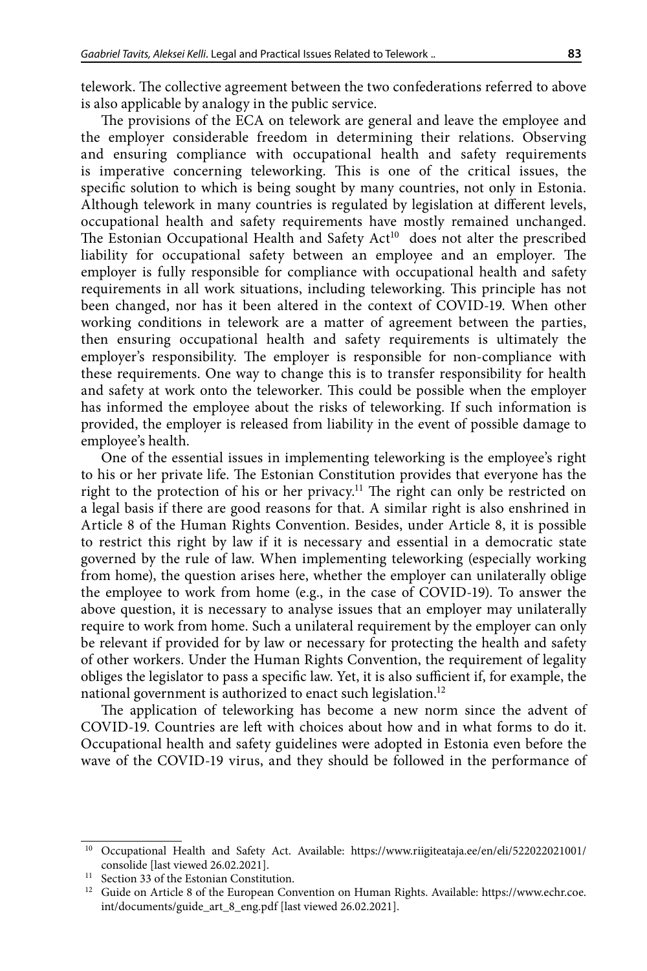telework. The collective agreement between the two confederations referred to above is also applicable by analogy in the public service.

The provisions of the ECA on telework are general and leave the employee and the employer considerable freedom in determining their relations. Observing and ensuring compliance with occupational health and safety requirements is imperative concerning teleworking. This is one of the critical issues, the specific solution to which is being sought by many countries, not only in Estonia. Although telework in many countries is regulated by legislation at different levels, occupational health and safety requirements have mostly remained unchanged. The Estonian Occupational Health and Safety Act<sup>10</sup> does not alter the prescribed liability for occupational safety between an employee and an employer. The employer is fully responsible for compliance with occupational health and safety requirements in all work situations, including teleworking. This principle has not been changed, nor has it been altered in the context of COVID-19. When other working conditions in telework are a matter of agreement between the parties, then ensuring occupational health and safety requirements is ultimately the employer's responsibility. The employer is responsible for non-compliance with these requirements. One way to change this is to transfer responsibility for health and safety at work onto the teleworker. This could be possible when the employer has informed the employee about the risks of teleworking. If such information is provided, the employer is released from liability in the event of possible damage to employee's health.

One of the essential issues in implementing teleworking is the employee's right to his or her private life. The Estonian Constitution provides that everyone has the right to the protection of his or her privacy.<sup>11</sup> The right can only be restricted on a legal basis if there are good reasons for that. A similar right is also enshrined in Article 8 of the Human Rights Convention. Besides, under Article 8, it is possible to restrict this right by law if it is necessary and essential in a democratic state governed by the rule of law. When implementing teleworking (especially working from home), the question arises here, whether the employer can unilaterally oblige the employee to work from home (e.g., in the case of COVID-19). To answer the above question, it is necessary to analyse issues that an employer may unilaterally require to work from home. Such a unilateral requirement by the employer can only be relevant if provided for by law or necessary for protecting the health and safety of other workers. Under the Human Rights Convention, the requirement of legality obliges the legislator to pass a specific law. Yet, it is also sufficient if, for example, the national government is authorized to enact such legislation.<sup>12</sup>

The application of teleworking has become a new norm since the advent of COVID-19. Countries are left with choices about how and in what forms to do it. Occupational health and safety guidelines were adopted in Estonia even before the wave of the COVID-19 virus, and they should be followed in the performance of

<sup>&</sup>lt;sup>10</sup> Occupational Health and Safety Act. Available: [https://www.riigiteataja.ee/en/eli/522022021001/](https://www.riigiteataja.ee/en/eli/522022021001/consolide) [consolide](https://www.riigiteataja.ee/en/eli/522022021001/consolide) [last viewed 26.02.2021].

 $^{11}\;$  Section 33 of the Estonian Constitution.

<sup>&</sup>lt;sup>12</sup> Guide on Article 8 of the European Convention on Human Rights. Available: [https://www.echr.coe.](https://www.echr.coe.int/documents/guide_art_8_eng.pdf) [int/documents/guide\\_art\\_8\\_eng.pdf](https://www.echr.coe.int/documents/guide_art_8_eng.pdf) [last viewed 26.02.2021].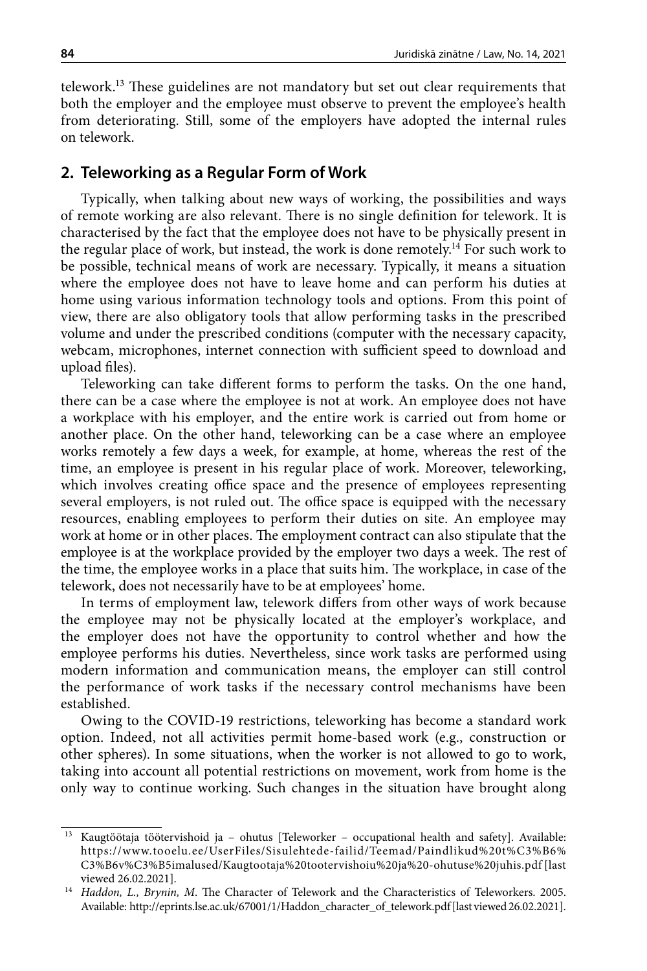telework.13 These guidelines are not mandatory but set out clear requirements that both the employer and the employee must observe to prevent the employee's health from deteriorating. Still, some of the employers have adopted the internal rules on telework.

#### **2. Teleworking as a Regular Form of Work**

Typically, when talking about new ways of working, the possibilities and ways of remote working are also relevant. There is no single definition for telework. It is characterised by the fact that the employee does not have to be physically present in the regular place of work, but instead, the work is done remotely.14 For such work to be possible, technical means of work are necessary. Typically, it means a situation where the employee does not have to leave home and can perform his duties at home using various information technology tools and options. From this point of view, there are also obligatory tools that allow performing tasks in the prescribed volume and under the prescribed conditions (computer with the necessary capacity, webcam, microphones, internet connection with sufficient speed to download and upload files).

Teleworking can take different forms to perform the tasks. On the one hand, there can be a case where the employee is not at work. An employee does not have a workplace with his employer, and the entire work is carried out from home or another place. On the other hand, teleworking can be a case where an employee works remotely a few days a week, for example, at home, whereas the rest of the time, an employee is present in his regular place of work. Moreover, teleworking, which involves creating office space and the presence of employees representing several employers, is not ruled out. The office space is equipped with the necessary resources, enabling employees to perform their duties on site. An employee may work at home or in other places. The employment contract can also stipulate that the employee is at the workplace provided by the employer two days a week. The rest of the time, the employee works in a place that suits him. The workplace, in case of the telework, does not necessarily have to be at employees' home.

In terms of employment law, telework differs from other ways of work because the employee may not be physically located at the employer's workplace, and the employer does not have the opportunity to control whether and how the employee performs his duties. Nevertheless, since work tasks are performed using modern information and communication means, the employer can still control the performance of work tasks if the necessary control mechanisms have been established.

Owing to the COVID-19 restrictions, teleworking has become a standard work option. Indeed, not all activities permit home-based work (e.g., construction or other spheres). In some situations, when the worker is not allowed to go to work, taking into account all potential restrictions on movement, work from home is the only way to continue working. Such changes in the situation have brought along

<sup>&</sup>lt;sup>13</sup> Kaugtöötaja töötervishoid ja – ohutus [Teleworker – occupational health and safety]. Available: [https://www.tooelu.ee/UserFiles/Sisulehtede-failid/Teemad/Paindlikud%20t%C3%B6%](https://www.tooelu.ee/UserFiles/Sisulehtede-failid/Teemad/Paindlikud%20t%C3%B6%C3%B6v%C3%B5imalused/Kaugtootaja%20tootervishoiu%20ja%20-ohutuse%20juhis.pdf) [C3%B6v%C3%B5imalused/Kaugtootaja%20tootervishoiu%20ja%20-ohutuse%20juhis.pdf](https://www.tooelu.ee/UserFiles/Sisulehtede-failid/Teemad/Paindlikud%20t%C3%B6%C3%B6v%C3%B5imalused/Kaugtootaja%20tootervishoiu%20ja%20-ohutuse%20juhis.pdf) [last viewed 26.02.2021].

<sup>14</sup> *Haddon, L., Brynin, M*. The Character of Telework and the Characteristics of Teleworkers. 2005. Available: [http://eprints.lse.ac.uk/67001/1/Haddon\\_character\\_of\\_telework.pdf](http://eprints.lse.ac.uk/67001/1/Haddon_character_of_telework.pdf) [last viewed 26.02.2021].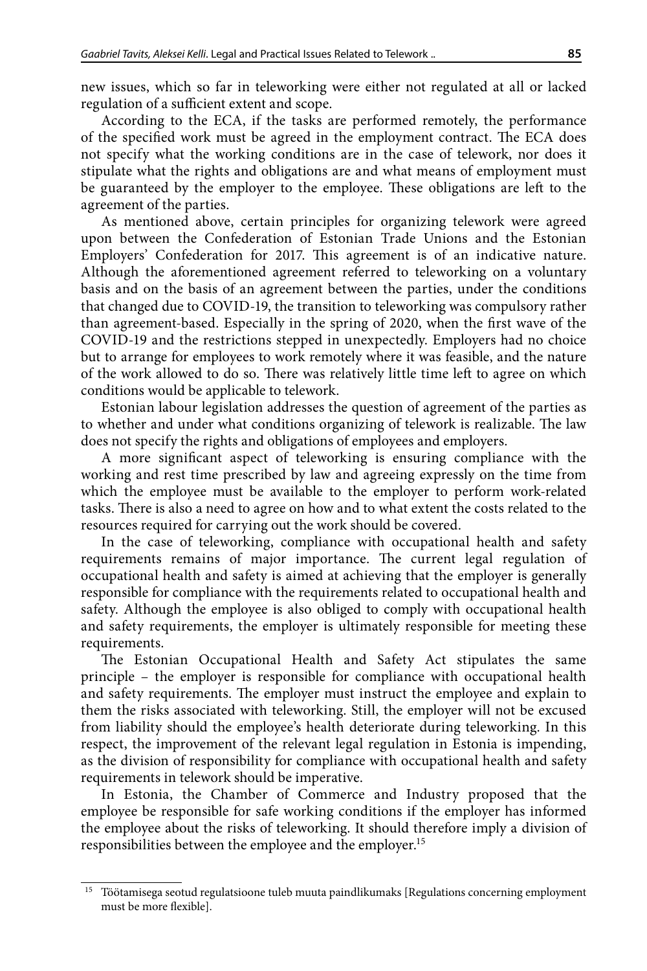new issues, which so far in teleworking were either not regulated at all or lacked regulation of a sufficient extent and scope.

According to the ECA, if the tasks are performed remotely, the performance of the specified work must be agreed in the employment contract. The ECA does not specify what the working conditions are in the case of telework, nor does it stipulate what the rights and obligations are and what means of employment must be guaranteed by the employer to the employee. These obligations are left to the agreement of the parties.

As mentioned above, certain principles for organizing telework were agreed upon between the Confederation of Estonian Trade Unions and the Estonian Employers' Confederation for 2017. This agreement is of an indicative nature. Although the aforementioned agreement referred to teleworking on a voluntary basis and on the basis of an agreement between the parties, under the conditions that changed due to COVID-19, the transition to teleworking was compulsory rather than agreement-based. Especially in the spring of 2020, when the first wave of the COVID-19 and the restrictions stepped in unexpectedly. Employers had no choice but to arrange for employees to work remotely where it was feasible, and the nature of the work allowed to do so. There was relatively little time left to agree on which conditions would be applicable to telework.

Estonian labour legislation addresses the question of agreement of the parties as to whether and under what conditions organizing of telework is realizable. The law does not specify the rights and obligations of employees and employers.

A more significant aspect of teleworking is ensuring compliance with the working and rest time prescribed by law and agreeing expressly on the time from which the employee must be available to the employer to perform work-related tasks. There is also a need to agree on how and to what extent the costs related to the resources required for carrying out the work should be covered.

In the case of teleworking, compliance with occupational health and safety requirements remains of major importance. The current legal regulation of occupational health and safety is aimed at achieving that the employer is generally responsible for compliance with the requirements related to occupational health and safety. Although the employee is also obliged to comply with occupational health and safety requirements, the employer is ultimately responsible for meeting these requirements.

The Estonian Occupational Health and Safety Act stipulates the same principle – the employer is responsible for compliance with occupational health and safety requirements. The employer must instruct the employee and explain to them the risks associated with teleworking. Still, the employer will not be excused from liability should the employee's health deteriorate during teleworking. In this respect, the improvement of the relevant legal regulation in Estonia is impending, as the division of responsibility for compliance with occupational health and safety requirements in telework should be imperative.

In Estonia, the Chamber of Commerce and Industry proposed that the employee be responsible for safe working conditions if the employer has informed the employee about the risks of teleworking. It should therefore imply a division of responsibilities between the employee and the employer.<sup>15</sup>

<sup>15</sup> Töötamisega seotud regulatsioone tuleb muuta paindlikumaks [Regulations concerning employment must be more flexible].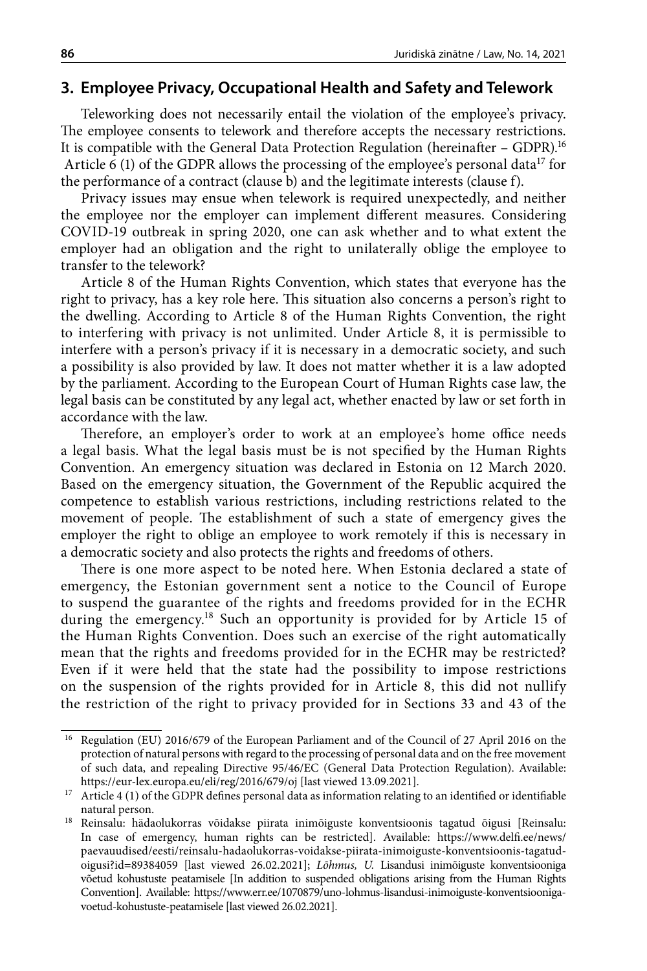### **3. Employee Privacy, Occupational Health and Safety and Telework**

Teleworking does not necessarily entail the violation of the employee's privacy. The employee consents to telework and therefore accepts the necessary restrictions. It is compatible with the General Data Protection Regulation (hereinafter – GDPR).16 Article 6 (1) of the GDPR allows the processing of the employee's personal data<sup>17</sup> for the performance of a contract (clause b) and the legitimate interests (clause f).

Privacy issues may ensue when telework is required unexpectedly, and neither the employee nor the employer can implement different measures. Considering COVID-19 outbreak in spring 2020, one can ask whether and to what extent the employer had an obligation and the right to unilaterally oblige the employee to transfer to the telework?

Article 8 of the Human Rights Convention, which states that everyone has the right to privacy, has a key role here. This situation also concerns a person's right to the dwelling. According to Article 8 of the Human Rights Convention, the right to interfering with privacy is not unlimited. Under Article 8, it is permissible to interfere with a person's privacy if it is necessary in a democratic society, and such a possibility is also provided by law. It does not matter whether it is a law adopted by the parliament. According to the European Court of Human Rights case law, the legal basis can be constituted by any legal act, whether enacted by law or set forth in accordance with the law.

Therefore, an employer's order to work at an employee's home office needs a legal basis. What the legal basis must be is not specified by the Human Rights Convention. An emergency situation was declared in Estonia on 12 March 2020. Based on the emergency situation, the Government of the Republic acquired the competence to establish various restrictions, including restrictions related to the movement of people. The establishment of such a state of emergency gives the employer the right to oblige an employee to work remotely if this is necessary in a democratic society and also protects the rights and freedoms of others.

There is one more aspect to be noted here. When Estonia declared a state of emergency, the Estonian government sent a notice to the Council of Europe to suspend the guarantee of the rights and freedoms provided for in the ECHR during the emergency.<sup>18</sup> Such an opportunity is provided for by Article 15 of the Human Rights Convention. Does such an exercise of the right automatically mean that the rights and freedoms provided for in the ECHR may be restricted? Even if it were held that the state had the possibility to impose restrictions on the suspension of the rights provided for in Article 8, this did not nullify the restriction of the right to privacy provided for in Sections 33 and 43 of the

<sup>16</sup> Regulation (EU) 2016/679 of the European Parliament and of the Council of 27 April 2016 on the protection of natural persons with regard to the processing of personal data and on the free movement of such data, and repealing Directive 95/46/EC (General Data Protection Regulation). Available: <https://eur-lex.europa.eu/eli/reg/2016/679/oj> [last viewed 13.09.2021].

 $17$  Article 4 (1) of the GDPR defines personal data as information relating to an identified or identifiable natural person.

<sup>18</sup> Reinsalu: hädaolukorras võidakse piirata inimõiguste konventsioonis tagatud õigusi [Reinsalu: In case of emergency, human rights can be restricted]. Available: [https://www.delfi.ee/news/](https://www.delfi.ee/news/paevauudised/eesti/reinsalu-hadaolukorras-voidakse-piirata-inimoiguste-konventsioonis-tagatud-oigusi?id=89384059) [paevauudised/eesti/reinsalu-hadaolukorras-voidakse-piirata-inimoiguste-konventsioonis-tagatud](https://www.delfi.ee/news/paevauudised/eesti/reinsalu-hadaolukorras-voidakse-piirata-inimoiguste-konventsioonis-tagatud-oigusi?id=89384059)[oigusi?id=89384059](https://www.delfi.ee/news/paevauudised/eesti/reinsalu-hadaolukorras-voidakse-piirata-inimoiguste-konventsioonis-tagatud-oigusi?id=89384059) [last viewed 26.02.2021]; *Lõhmus, U.* Lisandusi inimõiguste konventsiooniga võetud kohustuste peatamisele [In addition to suspended obligations arising from the Human Rights Convention]. Available: [https://www.err.ee/1070879/uno-lohmus-lisandusi-inimoiguste-konventsiooniga](https://www.err.ee/1070879/uno-lohmus-lisandusi-inimoiguste-konventsiooniga-voetud-kohustuste-peatamisele)[voetud-kohustuste-peatamisele](https://www.err.ee/1070879/uno-lohmus-lisandusi-inimoiguste-konventsiooniga-voetud-kohustuste-peatamisele) [last viewed 26.02.2021].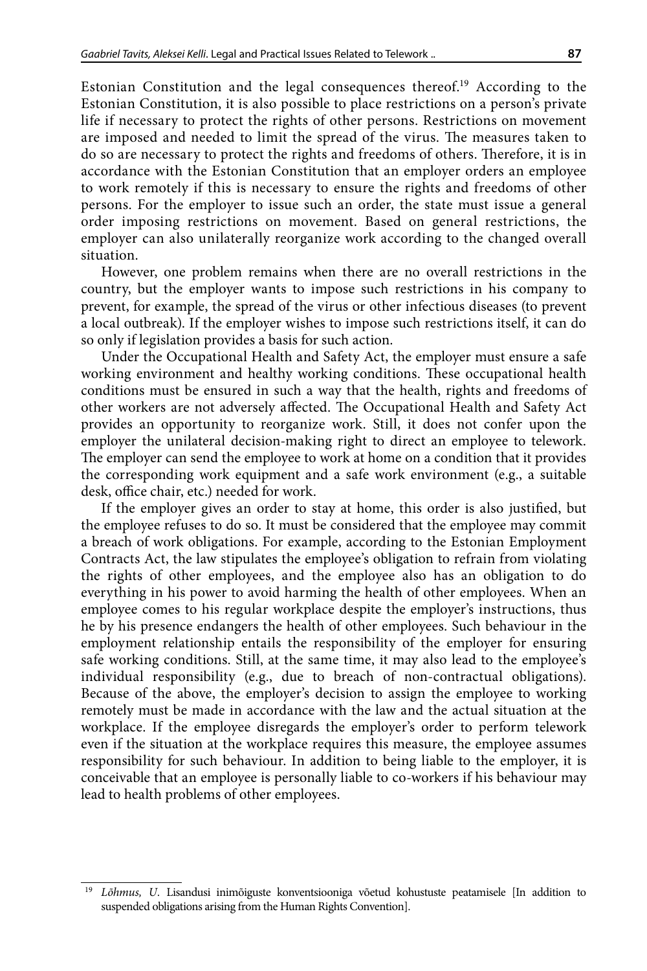Estonian Constitution and the legal consequences thereof.19 According to the Estonian Constitution, it is also possible to place restrictions on a person's private life if necessary to protect the rights of other persons. Restrictions on movement are imposed and needed to limit the spread of the virus. The measures taken to do so are necessary to protect the rights and freedoms of others. Therefore, it is in accordance with the Estonian Constitution that an employer orders an employee to work remotely if this is necessary to ensure the rights and freedoms of other persons. For the employer to issue such an order, the state must issue a general order imposing restrictions on movement. Based on general restrictions, the employer can also unilaterally reorganize work according to the changed overall situation.

However, one problem remains when there are no overall restrictions in the country, but the employer wants to impose such restrictions in his company to prevent, for example, the spread of the virus or other infectious diseases (to prevent a local outbreak). If the employer wishes to impose such restrictions itself, it can do so only if legislation provides a basis for such action.

Under the Occupational Health and Safety Act, the employer must ensure a safe working environment and healthy working conditions. These occupational health conditions must be ensured in such a way that the health, rights and freedoms of other workers are not adversely affected. The Occupational Health and Safety Act provides an opportunity to reorganize work. Still, it does not confer upon the employer the unilateral decision-making right to direct an employee to telework. The employer can send the employee to work at home on a condition that it provides the corresponding work equipment and a safe work environment (e.g., a suitable desk, office chair, etc.) needed for work.

If the employer gives an order to stay at home, this order is also justified, but the employee refuses to do so. It must be considered that the employee may commit a breach of work obligations. For example, according to the Estonian Employment Contracts Act, the law stipulates the employee's obligation to refrain from violating the rights of other employees, and the employee also has an obligation to do everything in his power to avoid harming the health of other employees. When an employee comes to his regular workplace despite the employer's instructions, thus he by his presence endangers the health of other employees. Such behaviour in the employment relationship entails the responsibility of the employer for ensuring safe working conditions. Still, at the same time, it may also lead to the employee's individual responsibility (e.g., due to breach of non-contractual obligations). Because of the above, the employer's decision to assign the employee to working remotely must be made in accordance with the law and the actual situation at the workplace. If the employee disregards the employer's order to perform telework even if the situation at the workplace requires this measure, the employee assumes responsibility for such behaviour. In addition to being liable to the employer, it is conceivable that an employee is personally liable to co-workers if his behaviour may lead to health problems of other employees.

<sup>19</sup> *Lõhmus, U*. Lisandusi inimõiguste konventsiooniga võetud kohustuste peatamisele [In addition to suspended obligations arising from the Human Rights Convention].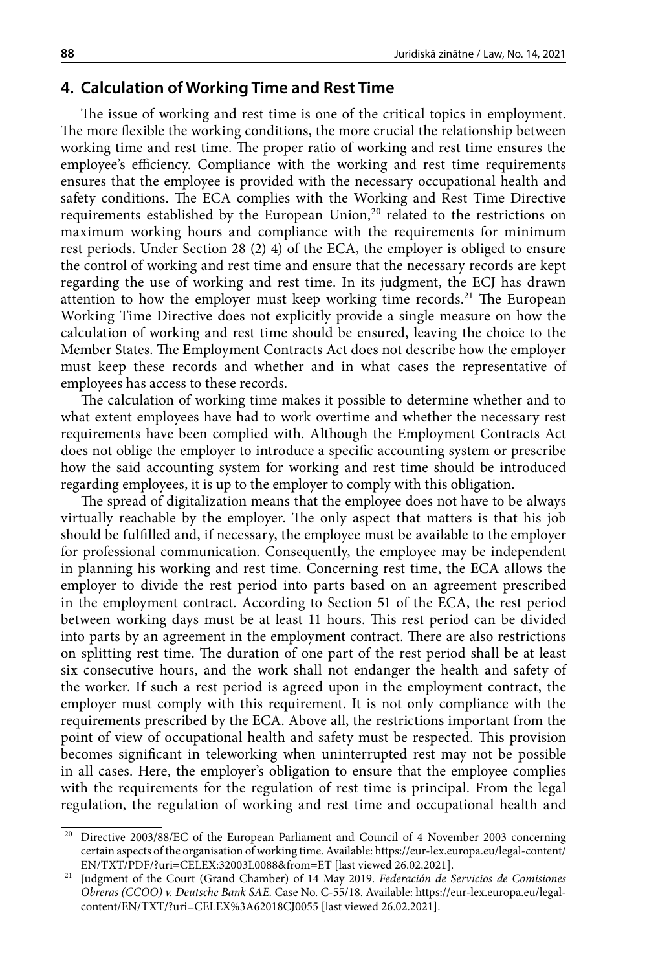## **4. Calculation of Working Time and Rest Time**

The issue of working and rest time is one of the critical topics in employment. The more flexible the working conditions, the more crucial the relationship between working time and rest time. The proper ratio of working and rest time ensures the employee's efficiency. Compliance with the working and rest time requirements ensures that the employee is provided with the necessary occupational health and safety conditions. The ECA complies with the Working and Rest Time Directive requirements established by the European Union, $20$  related to the restrictions on maximum working hours and compliance with the requirements for minimum rest periods. Under Section 28 (2) 4) of the ECA, the employer is obliged to ensure the control of working and rest time and ensure that the necessary records are kept regarding the use of working and rest time. In its judgment, the ECJ has drawn attention to how the employer must keep working time records.<sup>21</sup> The European Working Time Directive does not explicitly provide a single measure on how the calculation of working and rest time should be ensured, leaving the choice to the Member States. The Employment Contracts Act does not describe how the employer must keep these records and whether and in what cases the representative of employees has access to these records.

The calculation of working time makes it possible to determine whether and to what extent employees have had to work overtime and whether the necessary rest requirements have been complied with. Although the Employment Contracts Act does not oblige the employer to introduce a specific accounting system or prescribe how the said accounting system for working and rest time should be introduced regarding employees, it is up to the employer to comply with this obligation.

The spread of digitalization means that the employee does not have to be always virtually reachable by the employer. The only aspect that matters is that his job should be fulfilled and, if necessary, the employee must be available to the employer for professional communication. Consequently, the employee may be independent in planning his working and rest time. Concerning rest time, the ECA allows the employer to divide the rest period into parts based on an agreement prescribed in the employment contract. According to Section 51 of the ECA, the rest period between working days must be at least 11 hours. This rest period can be divided into parts by an agreement in the employment contract. There are also restrictions on splitting rest time. The duration of one part of the rest period shall be at least six consecutive hours, and the work shall not endanger the health and safety of the worker. If such a rest period is agreed upon in the employment contract, the employer must comply with this requirement. It is not only compliance with the requirements prescribed by the ECA. Above all, the restrictions important from the point of view of occupational health and safety must be respected. This provision becomes significant in teleworking when uninterrupted rest may not be possible in all cases. Here, the employer's obligation to ensure that the employee complies with the requirements for the regulation of rest time is principal. From the legal regulation, the regulation of working and rest time and occupational health and

<sup>&</sup>lt;sup>20</sup> Directive 2003/88/EC of the European Parliament and Council of 4 November 2003 concerning certain aspects of the organisation of working time. Available: [https://eur-lex.europa.eu/legal-content/](https://eur-lex.europa.eu/legal-content/EN/TXT/PDF/?uri=CELEX:32003L0088&from=ET) [EN/TXT/PDF/?uri=CELEX:32003L0088&from=ET](https://eur-lex.europa.eu/legal-content/EN/TXT/PDF/?uri=CELEX:32003L0088&from=ET) [last viewed 26.02.2021].

<sup>21</sup> Judgment of the Court (Grand Chamber) of 14 May 2019. *Federación de Servicios de Comisiones Obreras (CCOO) v. Deutsche Bank SAE.* Case No. C-55/18. Available: [https://eur-lex.europa.eu/legal](https://eur-lex.europa.eu/legal-content/EN/TXT/?uri=CELEX%3A62018CJ0055)[content/EN/TXT/?uri=CELEX%3A62018CJ0055](https://eur-lex.europa.eu/legal-content/EN/TXT/?uri=CELEX%3A62018CJ0055) [last viewed 26.02.2021].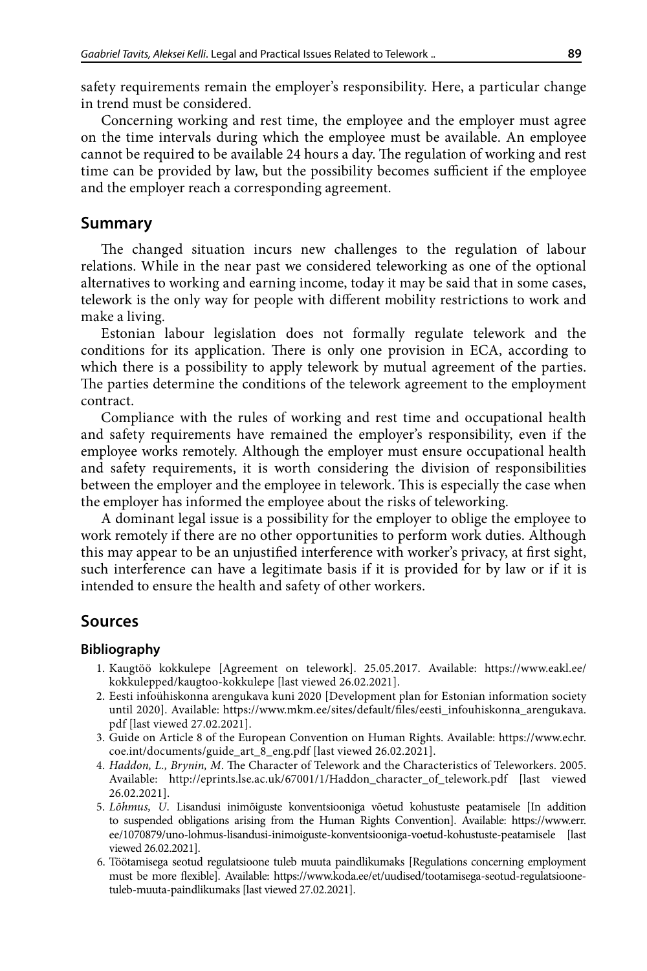safety requirements remain the employer's responsibility. Here, a particular change in trend must be considered.

Concerning working and rest time, the employee and the employer must agree on the time intervals during which the employee must be available. An employee cannot be required to be available 24 hours a day. The regulation of working and rest time can be provided by law, but the possibility becomes sufficient if the employee and the employer reach a corresponding agreement.

#### **Summary**

The changed situation incurs new challenges to the regulation of labour relations. While in the near past we considered teleworking as one of the optional alternatives to working and earning income, today it may be said that in some cases, telework is the only way for people with different mobility restrictions to work and make a living.

Estonian labour legislation does not formally regulate telework and the conditions for its application. There is only one provision in ECA, according to which there is a possibility to apply telework by mutual agreement of the parties. The parties determine the conditions of the telework agreement to the employment contract.

Compliance with the rules of working and rest time and occupational health and safety requirements have remained the employer's responsibility, even if the employee works remotely. Although the employer must ensure occupational health and safety requirements, it is worth considering the division of responsibilities between the employer and the employee in telework. This is especially the case when the employer has informed the employee about the risks of teleworking.

A dominant legal issue is a possibility for the employer to oblige the employee to work remotely if there are no other opportunities to perform work duties. Although this may appear to be an unjustified interference with worker's privacy, at first sight, such interference can have a legitimate basis if it is provided for by law or if it is intended to ensure the health and safety of other workers.

## **Sources**

#### **Bibliography**

- 1. Kaugtöö kokkulepe [Agreement on telework]. 25.05.2017. Available: [https://www.eakl.ee/](https://www.eakl.ee/kokkulepped/kaugtoo-kokkulepe) [kokkulepped/kaugtoo-kokkulepe](https://www.eakl.ee/kokkulepped/kaugtoo-kokkulepe) [last viewed 26.02.2021].
- 2. Eesti infoühiskonna arengukava kuni 2020 [Development plan for Estonian information society until 2020]. Available: [https://www.mkm.ee/sites/default/files/eesti\\_infouhiskonna\\_arengukava.](https://www.mkm.ee/sites/default/files/eesti_infouhiskonna_arengukava.pdf) [pdf](https://www.mkm.ee/sites/default/files/eesti_infouhiskonna_arengukava.pdf) [last viewed 27.02.2021].
- 3. Guide on Article 8 of the European Convention on Human Rights. Available: [https://www.echr.](https://www.echr.coe.int/documents/guide_art_8_eng.pdf) [coe.int/documents/guide\\_art\\_8\\_eng.pdf](https://www.echr.coe.int/documents/guide_art_8_eng.pdf) [last viewed 26.02.2021].
- 4. *Haddon, L., Brynin, M*. The Character of Telework and the Characteristics of Teleworkers. 2005. Available: [http://eprints.lse.ac.uk/67001/1/Haddon\\_character\\_of\\_telework.pdf](http://eprints.lse.ac.uk/67001/1/Haddon_character_of_telework.pdf) [last viewed 26.02.2021].
- 5. *Lõhmus, U*. Lisandusi inimõiguste konventsiooniga võetud kohustuste peatamisele [In addition to suspended obligations arising from the Human Rights Convention]. Available: [https://www.err.](https://www.err.ee/1070879/uno-lohmus-lisandusi-inimoiguste-konventsiooniga-voetud-kohustuste-peatamisele) [ee/1070879/uno-lohmus-lisandusi-inimoiguste-konventsiooniga-voetud-kohustuste-peatamisele](https://www.err.ee/1070879/uno-lohmus-lisandusi-inimoiguste-konventsiooniga-voetud-kohustuste-peatamisele) [last viewed 26.02.2021].
- 6. Töötamisega seotud regulatsioone tuleb muuta paindlikumaks [Regulations concerning employment must be more flexible]. Available: [https://www.koda.ee/et/uudised/tootamisega-seotud-regulatsioone](https://www.koda.ee/et/uudised/tootamisega-seotud-regulatsioone-tuleb-muuta-paindlikumaks)[tuleb-muuta-paindlikumaks](https://www.koda.ee/et/uudised/tootamisega-seotud-regulatsioone-tuleb-muuta-paindlikumaks) [last viewed 27.02.2021].